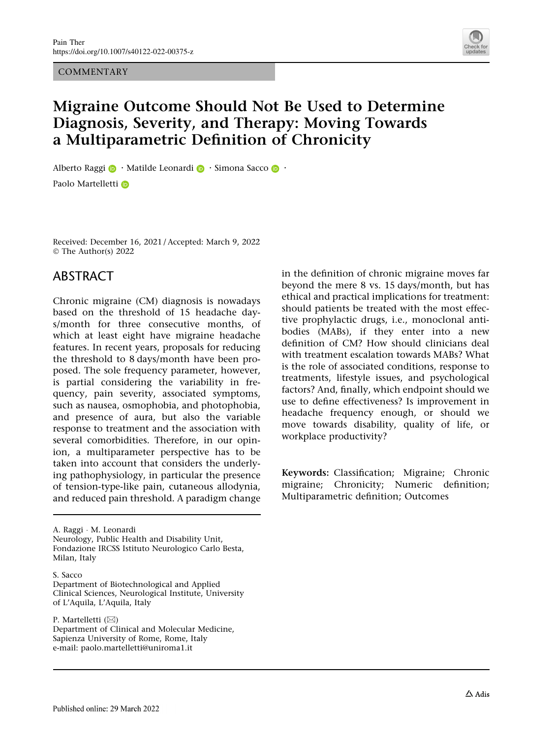**COMMENTARY** 



# Migraine Outcome Should Not Be Used to Determine Diagnosis, Severity, and Therapy: Moving Towards a Multiparametric Definition of Chronicity

Alberto Ragg[i](http://orcid.org/0000-0002-7433-7779)  $\bigcirc$  · Matilde Leonardi  $\bigcirc$  · Simona Sacco  $\bigcirc$  · Paolo Martelletti D

Received: December 16, 2021 / Accepted: March 9, 2022 © The Author(s) 2022

#### ABSTRACT

Chronic migraine (CM) diagnosis is nowadays based on the threshold of 15 headache days/month for three consecutive months, of which at least eight have migraine headache features. In recent years, proposals for reducing the threshold to 8 days/month have been proposed. The sole frequency parameter, however, is partial considering the variability in frequency, pain severity, associated symptoms, such as nausea, osmophobia, and photophobia, and presence of aura, but also the variable response to treatment and the association with several comorbidities. Therefore, in our opinion, a multiparameter perspective has to be taken into account that considers the underlying pathophysiology, in particular the presence of tension-type-like pain, cutaneous allodynia, and reduced pain threshold. A paradigm change

A. Raggi - M. Leonardi Neurology, Public Health and Disability Unit, Fondazione IRCSS Istituto Neurologico Carlo Besta, Milan, Italy

S. Sacco

P. Martelletti  $(\boxtimes)$ 

Department of Clinical and Molecular Medicine, Sapienza University of Rome, Rome, Italy e-mail: paolo.martelletti@uniroma1.it

in the definition of chronic migraine moves far beyond the mere 8 vs. 15 days/month, but has ethical and practical implications for treatment: should patients be treated with the most effective prophylactic drugs, i.e., monoclonal antibodies (MABs), if they enter into a new definition of CM? How should clinicians deal with treatment escalation towards MABs? What is the role of associated conditions, response to treatments, lifestyle issues, and psychological factors? And, finally, which endpoint should we use to define effectiveness? Is improvement in headache frequency enough, or should we move towards disability, quality of life, or workplace productivity?

Keywords: Classification; Migraine; Chronic migraine; Chronicity; Numeric definition; Multiparametric definition; Outcomes

Department of Biotechnological and Applied Clinical Sciences, Neurological Institute, University of L'Aquila, L'Aquila, Italy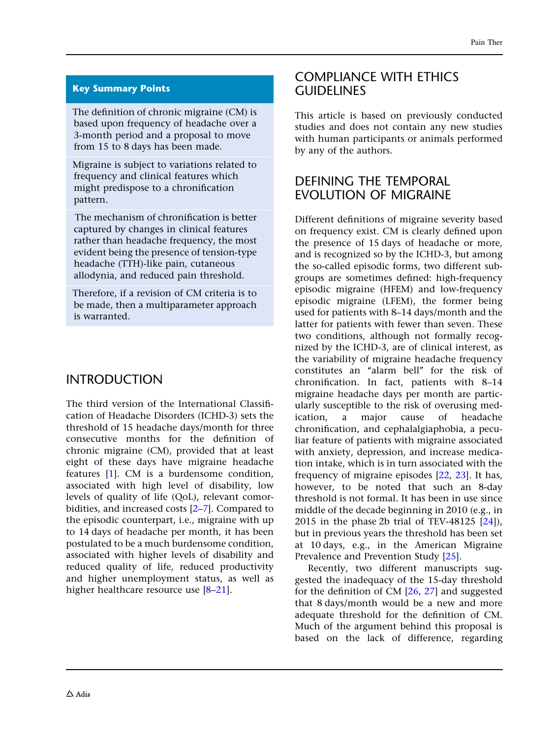#### Key Summary Points

The definition of chronic migraine (CM) is based upon frequency of headache over a 3-month period and a proposal to move from 15 to 8 days has been made.

Migraine is subject to variations related to frequency and clinical features which might predispose to a chronification pattern.

The mechanism of chronification is better captured by changes in clinical features rather than headache frequency, the most evident being the presence of tension-type headache (TTH)-like pain, cutaneous allodynia, and reduced pain threshold.

Therefore, if a revision of CM criteria is to be made, then a multiparameter approach is warranted.

# INTRODUCTION

The third version of the International Classification of Headache Disorders (ICHD-3) sets the threshold of 15 headache days/month for three consecutive months for the definition of chronic migraine (CM), provided that at least eight of these days have migraine headache features [\[1](#page-5-0)]. CM is a burdensome condition, associated with high level of disability, low levels of quality of life (QoL), relevant comorbidities, and increased costs [[2](#page-5-0)[–7\]](#page-6-0). Compared to the episodic counterpart, i.e., migraine with up to 14 days of headache per month, it has been postulated to be a much burdensome condition, associated with higher levels of disability and reduced quality of life, reduced productivity and higher unemployment status, as well as higher healthcare resource use [[8–21\]](#page-6-0).

#### COMPLIANCE WITH ETHICS GUIDELINES

This article is based on previously conducted studies and does not contain any new studies with human participants or animals performed by any of the authors.

## DEFINING THE TEMPORAL EVOLUTION OF MIGRAINE

Different definitions of migraine severity based on frequency exist. CM is clearly defined upon the presence of 15 days of headache or more, and is recognized so by the ICHD-3, but among the so-called episodic forms, two different subgroups are sometimes defined: high-frequency episodic migraine (HFEM) and low-frequency episodic migraine (LFEM), the former being used for patients with 8–14 days/month and the latter for patients with fewer than seven. These two conditions, although not formally recognized by the ICHD-3, are of clinical interest, as the variability of migraine headache frequency constitutes an ''alarm bell'' for the risk of chronification. In fact, patients with 8–14 migraine headache days per month are particularly susceptible to the risk of overusing medication, a major cause of headache chronification, and cephalalgiaphobia, a peculiar feature of patients with migraine associated with anxiety, depression, and increase medication intake, which is in turn associated with the frequency of migraine episodes [\[22](#page-6-0), [23](#page-6-0)]. It has, however, to be noted that such an 8-day threshold is not formal. It has been in use since middle of the decade beginning in 2010 (e.g., in 2015 in the phase 2b trial of TEV-48125 [\[24\]](#page-6-0)), but in previous years the threshold has been set at 10 days, e.g., in the American Migraine Prevalence and Prevention Study [\[25\]](#page-6-0).

Recently, two different manuscripts suggested the inadequacy of the 15-day threshold for the definition of CM [\[26](#page-7-0), [27](#page-7-0)] and suggested that 8 days/month would be a new and more adequate threshold for the definition of CM. Much of the argument behind this proposal is based on the lack of difference, regarding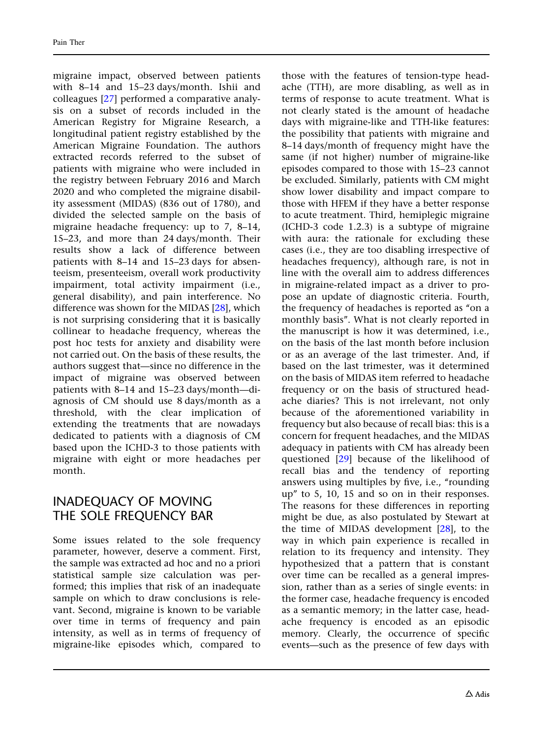migraine impact, observed between patients with 8–14 and 15–23 days/month. Ishii and colleagues [\[27\]](#page-7-0) performed a comparative analysis on a subset of records included in the American Registry for Migraine Research, a longitudinal patient registry established by the American Migraine Foundation. The authors extracted records referred to the subset of patients with migraine who were included in the registry between February 2016 and March 2020 and who completed the migraine disability assessment (MIDAS) (836 out of 1780), and divided the selected sample on the basis of migraine headache frequency: up to 7, 8–14, 15–23, and more than 24 days/month. Their results show a lack of difference between patients with 8–14 and 15–23 days for absenteeism, presenteeism, overall work productivity impairment, total activity impairment (i.e., general disability), and pain interference. No difference was shown for the MIDAS [\[28\]](#page-7-0), which is not surprising considering that it is basically collinear to headache frequency, whereas the post hoc tests for anxiety and disability were not carried out. On the basis of these results, the authors suggest that—since no difference in the impact of migraine was observed between patients with 8–14 and 15–23 days/month—diagnosis of CM should use 8 days/month as a threshold, with the clear implication of extending the treatments that are nowadays dedicated to patients with a diagnosis of CM based upon the ICHD-3 to those patients with migraine with eight or more headaches per month.

## INADEQUACY OF MOVING THE SOLE FREQUENCY BAR

Some issues related to the sole frequency parameter, however, deserve a comment. First, the sample was extracted ad hoc and no a priori statistical sample size calculation was performed; this implies that risk of an inadequate sample on which to draw conclusions is relevant. Second, migraine is known to be variable over time in terms of frequency and pain intensity, as well as in terms of frequency of migraine-like episodes which, compared to

those with the features of tension-type headache (TTH), are more disabling, as well as in terms of response to acute treatment. What is not clearly stated is the amount of headache days with migraine-like and TTH-like features: the possibility that patients with migraine and 8–14 days/month of frequency might have the same (if not higher) number of migraine-like episodes compared to those with 15–23 cannot be excluded. Similarly, patients with CM might show lower disability and impact compare to those with HFEM if they have a better response to acute treatment. Third, hemiplegic migraine (ICHD-3 code 1.2.3) is a subtype of migraine with aura: the rationale for excluding these cases (i.e., they are too disabling irrespective of headaches frequency), although rare, is not in line with the overall aim to address differences in migraine-related impact as a driver to propose an update of diagnostic criteria. Fourth, the frequency of headaches is reported as ''on a monthly basis''. What is not clearly reported in the manuscript is how it was determined, i.e., on the basis of the last month before inclusion or as an average of the last trimester. And, if based on the last trimester, was it determined on the basis of MIDAS item referred to headache frequency or on the basis of structured headache diaries? This is not irrelevant, not only because of the aforementioned variability in frequency but also because of recall bias: this is a concern for frequent headaches, and the MIDAS adequacy in patients with CM has already been questioned [[29](#page-7-0)] because of the likelihood of recall bias and the tendency of reporting answers using multiples by five, i.e., "rounding up'' to 5, 10, 15 and so on in their responses. The reasons for these differences in reporting might be due, as also postulated by Stewart at the time of MIDAS development [\[28\]](#page-7-0), to the way in which pain experience is recalled in relation to its frequency and intensity. They hypothesized that a pattern that is constant over time can be recalled as a general impression, rather than as a series of single events: in the former case, headache frequency is encoded as a semantic memory; in the latter case, headache frequency is encoded as an episodic memory. Clearly, the occurrence of specific events—such as the presence of few days with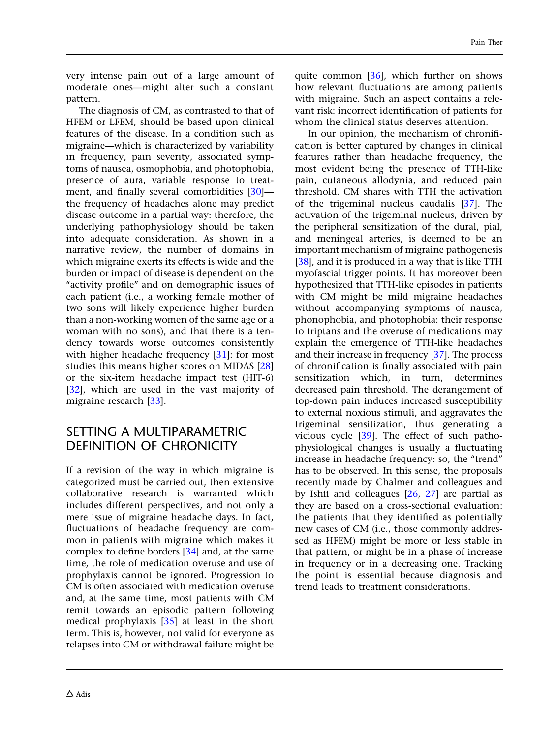very intense pain out of a large amount of moderate ones—might alter such a constant pattern.

The diagnosis of CM, as contrasted to that of HFEM or LFEM, should be based upon clinical features of the disease. In a condition such as migraine—which is characterized by variability in frequency, pain severity, associated symptoms of nausea, osmophobia, and photophobia, presence of aura, variable response to treatment, and finally several comorbidities [[30](#page-7-0)] the frequency of headaches alone may predict disease outcome in a partial way: therefore, the underlying pathophysiology should be taken into adequate consideration. As shown in a narrative review, the number of domains in which migraine exerts its effects is wide and the burden or impact of disease is dependent on the "activity profile" and on demographic issues of each patient (i.e., a working female mother of two sons will likely experience higher burden than a non-working women of the same age or a woman with no sons), and that there is a tendency towards worse outcomes consistently with higher headache frequency [[31](#page-7-0)]: for most studies this means higher scores on MIDAS [[28](#page-7-0)] or the six-item headache impact test (HIT-6) [\[32\]](#page-7-0), which are used in the vast majority of migraine research [[33](#page-7-0)].

## SETTING A MULTIPARAMETRIC DEFINITION OF CHRONICITY

If a revision of the way in which migraine is categorized must be carried out, then extensive collaborative research is warranted which includes different perspectives, and not only a mere issue of migraine headache days. In fact, fluctuations of headache frequency are common in patients with migraine which makes it complex to define borders [[34](#page-7-0)] and, at the same time, the role of medication overuse and use of prophylaxis cannot be ignored. Progression to CM is often associated with medication overuse and, at the same time, most patients with CM remit towards an episodic pattern following medical prophylaxis [[35\]](#page-7-0) at least in the short term. This is, however, not valid for everyone as relapses into CM or withdrawal failure might be

quite common [[36\]](#page-7-0), which further on shows how relevant fluctuations are among patients with migraine. Such an aspect contains a relevant risk: incorrect identification of patients for whom the clinical status deserves attention.

In our opinion, the mechanism of chronification is better captured by changes in clinical features rather than headache frequency, the most evident being the presence of TTH-like pain, cutaneous allodynia, and reduced pain threshold. CM shares with TTH the activation of the trigeminal nucleus caudalis [[37](#page-7-0)]. The activation of the trigeminal nucleus, driven by the peripheral sensitization of the dural, pial, and meningeal arteries, is deemed to be an important mechanism of migraine pathogenesis [\[38\]](#page-7-0), and it is produced in a way that is like TTH myofascial trigger points. It has moreover been hypothesized that TTH-like episodes in patients with CM might be mild migraine headaches without accompanying symptoms of nausea, phonophobia, and photophobia: their response to triptans and the overuse of medications may explain the emergence of TTH-like headaches and their increase in frequency [[37](#page-7-0)]. The process of chronification is finally associated with pain sensitization which, in turn, determines decreased pain threshold. The derangement of top-down pain induces increased susceptibility to external noxious stimuli, and aggravates the trigeminal sensitization, thus generating a vicious cycle [\[39\]](#page-7-0). The effect of such pathophysiological changes is usually a fluctuating increase in headache frequency: so, the ''trend'' has to be observed. In this sense, the proposals recently made by Chalmer and colleagues and by Ishii and colleagues [\[26,](#page-7-0) [27](#page-7-0)] are partial as they are based on a cross-sectional evaluation: the patients that they identified as potentially new cases of CM (i.e., those commonly addressed as HFEM) might be more or less stable in that pattern, or might be in a phase of increase in frequency or in a decreasing one. Tracking the point is essential because diagnosis and trend leads to treatment considerations.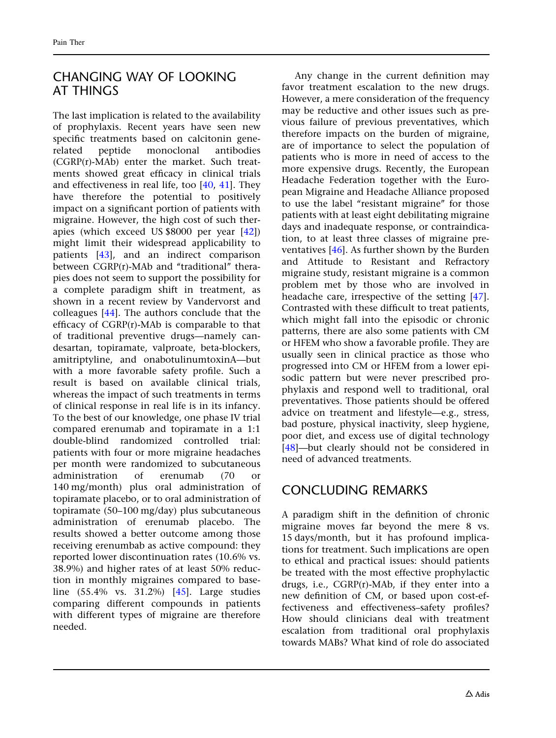# CHANGING WAY OF LOOKING AT THINGS

The last implication is related to the availability of prophylaxis. Recent years have seen new specific treatments based on calcitonin generelated peptide monoclonal antibodies (CGRP(r)-MAb) enter the market. Such treatments showed great efficacy in clinical trials and effectiveness in real life, too [\[40,](#page-7-0) [41](#page-7-0)]. They have therefore the potential to positively impact on a significant portion of patients with migraine. However, the high cost of such therapies (which exceed US \$8000 per year [[42](#page-7-0)]) might limit their widespread applicability to patients [\[43\]](#page-7-0), and an indirect comparison between CGRP(r)-MAb and "traditional" therapies does not seem to support the possibility for a complete paradigm shift in treatment, as shown in a recent review by Vandervorst and colleagues [[44](#page-7-0)]. The authors conclude that the efficacy of CGRP(r)-MAb is comparable to that of traditional preventive drugs—namely candesartan, topiramate, valproate, beta-blockers, amitriptyline, and onabotulinumtoxinA—but with a more favorable safety profile. Such a result is based on available clinical trials, whereas the impact of such treatments in terms of clinical response in real life is in its infancy. To the best of our knowledge, one phase IV trial compared erenumab and topiramate in a 1:1 double-blind randomized controlled trial: patients with four or more migraine headaches per month were randomized to subcutaneous administration of erenumab (70 or 140 mg/month) plus oral administration of topiramate placebo, or to oral administration of topiramate (50–100 mg/day) plus subcutaneous administration of erenumab placebo. The results showed a better outcome among those receiving erenumbab as active compound: they reported lower discontinuation rates (10.6% vs. 38.9%) and higher rates of at least 50% reduction in monthly migraines compared to baseline (55.4% vs. 31.2%) [\[45\]](#page-7-0). Large studies comparing different compounds in patients with different types of migraine are therefore needed.

Any change in the current definition may favor treatment escalation to the new drugs. However, a mere consideration of the frequency may be reductive and other issues such as previous failure of previous preventatives, which therefore impacts on the burden of migraine, are of importance to select the population of patients who is more in need of access to the more expensive drugs. Recently, the European Headache Federation together with the European Migraine and Headache Alliance proposed to use the label "resistant migraine" for those patients with at least eight debilitating migraine days and inadequate response, or contraindication, to at least three classes of migraine preventatives [\[46\]](#page-8-0). As further shown by the Burden and Attitude to Resistant and Refractory migraine study, resistant migraine is a common problem met by those who are involved in headache care, irrespective of the setting [[47](#page-8-0)]. Contrasted with these difficult to treat patients, which might fall into the episodic or chronic patterns, there are also some patients with CM or HFEM who show a favorable profile. They are usually seen in clinical practice as those who progressed into CM or HFEM from a lower episodic pattern but were never prescribed prophylaxis and respond well to traditional, oral preventatives. Those patients should be offered advice on treatment and lifestyle—e.g., stress, bad posture, physical inactivity, sleep hygiene, poor diet, and excess use of digital technology [\[48\]](#page-8-0)—but clearly should not be considered in need of advanced treatments.

# CONCLUDING REMARKS

A paradigm shift in the definition of chronic migraine moves far beyond the mere 8 vs. 15 days/month, but it has profound implications for treatment. Such implications are open to ethical and practical issues: should patients be treated with the most effective prophylactic drugs, i.e., CGRP(r)-MAb, if they enter into a new definition of CM, or based upon cost-effectiveness and effectiveness–safety profiles? How should clinicians deal with treatment escalation from traditional oral prophylaxis towards MABs? What kind of role do associated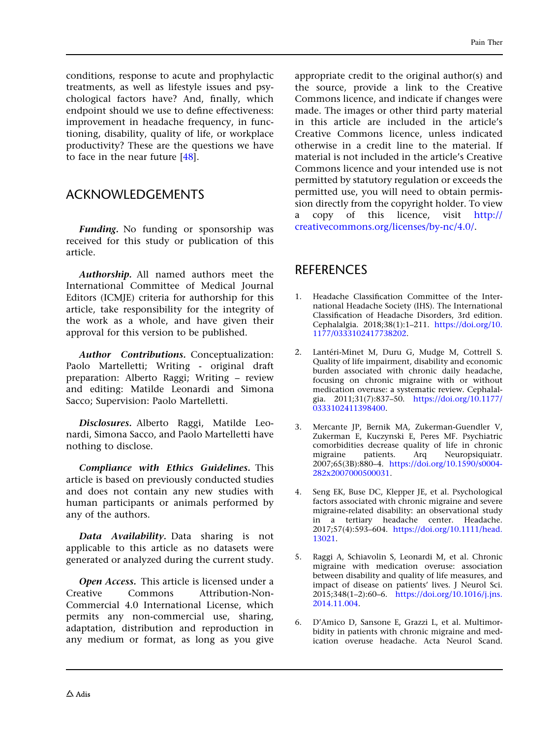<span id="page-5-0"></span>conditions, response to acute and prophylactic treatments, as well as lifestyle issues and psychological factors have? And, finally, which endpoint should we use to define effectiveness: improvement in headache frequency, in functioning, disability, quality of life, or workplace productivity? These are the questions we have to face in the near future [[48](#page-8-0)].

#### ACKNOWLEDGEMENTS

Funding. No funding or sponsorship was received for this study or publication of this article.

Authorship. All named authors meet the International Committee of Medical Journal Editors (ICMJE) criteria for authorship for this article, take responsibility for the integrity of the work as a whole, and have given their approval for this version to be published.

Author Contributions. Conceptualization: Paolo Martelletti; Writing - original draft preparation: Alberto Raggi; Writing – review and editing: Matilde Leonardi and Simona Sacco; Supervision: Paolo Martelletti.

Disclosures. Alberto Raggi, Matilde Leonardi, Simona Sacco, and Paolo Martelletti have nothing to disclose.

Compliance with Ethics Guidelines. This article is based on previously conducted studies and does not contain any new studies with human participants or animals performed by any of the authors.

Data Availability. Data sharing is not applicable to this article as no datasets were generated or analyzed during the current study.

Open Access. This article is licensed under a Creative Commons Attribution-Non-Commercial 4.0 International License, which permits any non-commercial use, sharing, adaptation, distribution and reproduction in any medium or format, as long as you give

appropriate credit to the original author(s) and the source, provide a link to the Creative Commons licence, and indicate if changes were made. The images or other third party material in this article are included in the article's Creative Commons licence, unless indicated otherwise in a credit line to the material. If material is not included in the article's Creative Commons licence and your intended use is not permitted by statutory regulation or exceeds the permitted use, you will need to obtain permission directly from the copyright holder. To view a copy of this licence, visit [http://](http://creativecommons.org/licenses/by-nc/4.0/) [creativecommons.org/licenses/by-nc/4.0/](http://creativecommons.org/licenses/by-nc/4.0/).

#### **REFERENCES**

- 1. Headache Classification Committee of the International Headache Society (IHS). The International Classification of Headache Disorders, 3rd edition. Cephalalgia. 2018;38(1):1–211. [https://doi.org/10.](https://doi.org/10.1177/0333102417738202) [1177/0333102417738202.](https://doi.org/10.1177/0333102417738202)
- 2. Lantéri-Minet M, Duru G, Mudge M, Cottrell S. Quality of life impairment, disability and economic burden associated with chronic daily headache, focusing on chronic migraine with or without medication overuse: a systematic review. Cephalalgia. 2011;31(7):837–50. [https://doi.org/10.1177/](https://doi.org/10.1177/0333102411398400) [0333102411398400.](https://doi.org/10.1177/0333102411398400)
- 3. Mercante JP, Bernik MA, Zukerman-Guendler V, Zukerman E, Kuczynski E, Peres MF. Psychiatric comorbidities decrease quality of life in chronic migraine patients. Arq Neuropsiquiatr. 2007;65(3B):880–4. [https://doi.org/10.1590/s0004-](https://doi.org/10.1590/s0004-282x2007000500031) [282x2007000500031.](https://doi.org/10.1590/s0004-282x2007000500031)
- 4. Seng EK, Buse DC, Klepper JE, et al. Psychological factors associated with chronic migraine and severe migraine-related disability: an observational study in a tertiary headache center. Headache. 2017;57(4):593–604. [https://doi.org/10.1111/head.](https://doi.org/10.1111/head.13021) [13021](https://doi.org/10.1111/head.13021).
- 5. Raggi A, Schiavolin S, Leonardi M, et al. Chronic migraine with medication overuse: association between disability and quality of life measures, and impact of disease on patients' lives. J Neurol Sci. 2015;348(1–2):60–6. [https://doi.org/10.1016/j.jns.](https://doi.org/10.1016/j.jns.2014.11.004) [2014.11.004.](https://doi.org/10.1016/j.jns.2014.11.004)
- 6. D'Amico D, Sansone E, Grazzi L, et al. Multimorbidity in patients with chronic migraine and medication overuse headache. Acta Neurol Scand.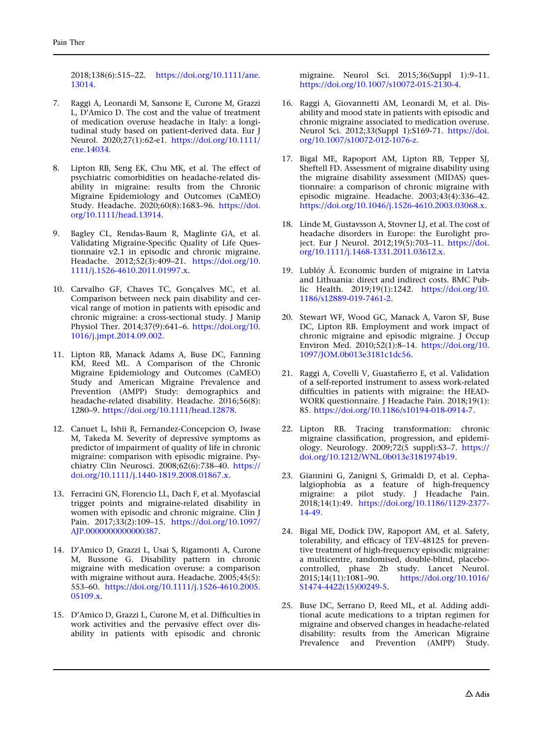<span id="page-6-0"></span>2018;138(6):515–22. [https://doi.org/10.1111/ane.](https://doi.org/10.1111/ane.13014) [13014](https://doi.org/10.1111/ane.13014).

- 7. Raggi A, Leonardi M, Sansone E, Curone M, Grazzi L, D'Amico D. The cost and the value of treatment of medication overuse headache in Italy: a longitudinal study based on patient-derived data. Eur J Neurol. 2020;27(1):62-e1. [https://doi.org/10.1111/](https://doi.org/10.1111/ene.14034) [ene.14034.](https://doi.org/10.1111/ene.14034)
- 8. Lipton RB, Seng EK, Chu MK, et al. The effect of psychiatric comorbidities on headache-related disability in migraine: results from the Chronic Migraine Epidemiology and Outcomes (CaMEO) Study. Headache. 2020;60(8):1683–96. [https://doi.](https://doi.org/10.1111/head.13914) [org/10.1111/head.13914.](https://doi.org/10.1111/head.13914)
- 9. Bagley CL, Rendas-Baum R, Maglinte GA, et al. Validating Migraine-Specific Quality of Life Questionnaire v2.1 in episodic and chronic migraine. Headache. 2012;52(3):409–21. [https://doi.org/10.](https://doi.org/10.1111/j.1526-4610.2011.01997.x) [1111/j.1526-4610.2011.01997.x](https://doi.org/10.1111/j.1526-4610.2011.01997.x).
- 10. Carvalho GF, Chaves TC, Gonçalves MC, et al. Comparison between neck pain disability and cervical range of motion in patients with episodic and chronic migraine: a cross-sectional study. J Manip Physiol Ther. 2014;37(9):641–6. [https://doi.org/10.](https://doi.org/10.1016/j.jmpt.2014.09.002) [1016/j.jmpt.2014.09.002.](https://doi.org/10.1016/j.jmpt.2014.09.002)
- 11. Lipton RB, Manack Adams A, Buse DC, Fanning KM, Reed ML. A Comparison of the Chronic Migraine Epidemiology and Outcomes (CaMEO) Study and American Migraine Prevalence and Prevention (AMPP) Study: demographics and headache-related disability. Headache. 2016;56(8): 1280–9. <https://doi.org/10.1111/head.12878>.
- 12. Canuet L, Ishii R, Fernandez-Concepcion O, Iwase M, Takeda M. Severity of depressive symptoms as predictor of impairment of quality of life in chronic migraine: comparison with episodic migraine. Psychiatry Clin Neurosci. 2008;62(6):738–40. [https://](https://doi.org/10.1111/j.1440-1819.2008.01867.x) [doi.org/10.1111/j.1440-1819.2008.01867.x.](https://doi.org/10.1111/j.1440-1819.2008.01867.x)
- 13. Ferracini GN, Florencio LL, Dach F, et al. Myofascial trigger points and migraine-related disability in women with episodic and chronic migraine. Clin J Pain. 2017;33(2):109–15. [https://doi.org/10.1097/](https://doi.org/10.1097/AJP.0000000000000387) [AJP.0000000000000387.](https://doi.org/10.1097/AJP.0000000000000387)
- 14. D'Amico D, Grazzi L, Usai S, Rigamonti A, Curone M, Bussone G. Disability pattern in chronic migraine with medication overuse: a comparison with migraine without aura. Headache. 2005;45(5): 553–60. [https://doi.org/10.1111/j.1526-4610.2005.](https://doi.org/10.1111/j.1526-4610.2005.05109.x) [05109.x.](https://doi.org/10.1111/j.1526-4610.2005.05109.x)
- 15. D'Amico D, Grazzi L, Curone M, et al. Difficulties in work activities and the pervasive effect over disability in patients with episodic and chronic

migraine. Neurol Sci. 2015;36(Suppl 1):9–11. [https://doi.org/10.1007/s10072-015-2130-4.](https://doi.org/10.1007/s10072-015-2130-4)

- 16. Raggi A, Giovannetti AM, Leonardi M, et al. Disability and mood state in patients with episodic and chronic migraine associated to medication overuse. Neurol Sci. 2012;33(Suppl 1):S169-71. [https://doi.](https://doi.org/10.1007/s10072-012-1076-z) [org/10.1007/s10072-012-1076-z](https://doi.org/10.1007/s10072-012-1076-z).
- 17. Bigal ME, Rapoport AM, Lipton RB, Tepper SJ, Sheftell FD. Assessment of migraine disability using the migraine disability assessment (MIDAS) questionnaire: a comparison of chronic migraine with episodic migraine. Headache. 2003;43(4):336–42. [https://doi.org/10.1046/j.1526-4610.2003.03068.x.](https://doi.org/10.1046/j.1526-4610.2003.03068.x)
- 18. Linde M, Gustavsson A, Stovner LJ, et al. The cost of headache disorders in Europe: the Eurolight project. Eur J Neurol. 2012;19(5):703–11. [https://doi.](https://doi.org/10.1111/j.1468-1331.2011.03612.x) [org/10.1111/j.1468-1331.2011.03612.x.](https://doi.org/10.1111/j.1468-1331.2011.03612.x)
- 19. Lublóy Á. Economic burden of migraine in Latvia and Lithuania: direct and indirect costs. BMC Public Health. 2019;19(1):1242. [https://doi.org/10.](https://doi.org/10.1186/s12889-019-7461-2) [1186/s12889-019-7461-2.](https://doi.org/10.1186/s12889-019-7461-2)
- 20. Stewart WF, Wood GC, Manack A, Varon SF, Buse DC, Lipton RB. Employment and work impact of chronic migraine and episodic migraine. J Occup Environ Med. 2010;52(1):8-14. [https://doi.org/10.](https://doi.org/10.1097/JOM.0b013e3181c1dc56) [1097/JOM.0b013e3181c1dc56](https://doi.org/10.1097/JOM.0b013e3181c1dc56).
- 21. Raggi A, Covelli V, Guastafierro E, et al. Validation of a self-reported instrument to assess work-related difficulties in patients with migraine: the HEAD-WORK questionnaire. J Headache Pain. 2018;19(1): 85. [https://doi.org/10.1186/s10194-018-0914-7.](https://doi.org/10.1186/s10194-018-0914-7)
- 22. Lipton RB. Tracing transformation: chronic migraine classification, progression, and epidemiology. Neurology. 2009;72(5 suppl):S3–7. [https://](https://doi.org/10.1212/WNL.0b013e3181974b19) [doi.org/10.1212/WNL.0b013e3181974b19.](https://doi.org/10.1212/WNL.0b013e3181974b19)
- 23. Giannini G, Zanigni S, Grimaldi D, et al. Cephalalgiophobia as a feature of high-frequency migraine: a pilot study. J Headache Pain. 2018;14(1):49. [https://doi.org/10.1186/1129-2377-](https://doi.org/10.1186/1129-2377-14-49) [14-49](https://doi.org/10.1186/1129-2377-14-49).
- 24. Bigal ME, Dodick DW, Rapoport AM, et al. Safety, tolerability, and efficacy of TEV-48125 for preventive treatment of high-frequency episodic migraine: a multicentre, randomised, double-blind, placebocontrolled, phase 2b study. Lancet Neurol. 2015;14(11):1081–90. [https://doi.org/10.1016/](https://doi.org/10.1016/S1474-4422(15)00249-5) [S1474-4422\(15\)00249-5.](https://doi.org/10.1016/S1474-4422(15)00249-5)
- 25. Buse DC, Serrano D, Reed ML, et al. Adding additional acute medications to a triptan regimen for migraine and observed changes in headache-related disability: results from the American Migraine Prevalence and Prevention (AMPP) Study.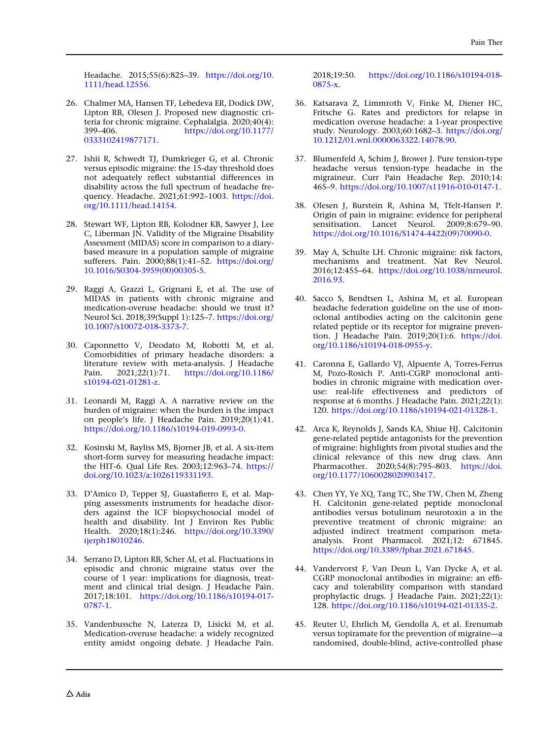<span id="page-7-0"></span>Headache. 2015;55(6):825–39. [https://doi.org/10.](https://doi.org/10.1111/head.12556) [1111/head.12556.](https://doi.org/10.1111/head.12556)

- 26. Chalmer MA, Hansen TF, Lebedeva ER, Dodick DW, Lipton RB, Olesen J. Proposed new diagnostic criteria for chronic migraine. Cephalalgia. 2020;40(4): 399–406. [https://doi.org/10.1177/](https://doi.org/10.1177/0333102419877171) [0333102419877171.](https://doi.org/10.1177/0333102419877171)
- 27. Ishii R, Schwedt TJ, Dumkrieger G, et al. Chronic versus episodic migraine: the 15-day threshold does not adequately reflect substantial differences in disability across the full spectrum of headache frequency. Headache. 2021;61:992–1003. [https://doi.](https://doi.org/10.1111/head.14154) [org/10.1111/head.14154](https://doi.org/10.1111/head.14154).
- 28. Stewart WF, Lipton RB, Kolodner KB, Sawyer J, Lee C, Liberman JN. Validity of the Migraine Disability Assessment (MIDAS) score in comparison to a diarybased measure in a population sample of migraine sufferers. Pain. 2000;88(1):41–52. [https://doi.org/](https://doi.org/10.1016/S0304-3959(00)00305-5) [10.1016/S0304-3959\(00\)00305-5](https://doi.org/10.1016/S0304-3959(00)00305-5).
- 29. Raggi A, Grazzi L, Grignani E, et al. The use of MIDAS in patients with chronic migraine and medication-overuse headache: should we trust it? Neurol Sci. 2018;39(Suppl 1):125–7. [https://doi.org/](https://doi.org/10.1007/s10072-018-3373-7) [10.1007/s10072-018-3373-7.](https://doi.org/10.1007/s10072-018-3373-7)
- 30. Caponnetto V, Deodato M, Robotti M, et al. Comorbidities of primary headache disorders: a literature review with meta-analysis. J Headache Pain. 2021;22(1):71. [https://doi.org/10.1186/](https://doi.org/10.1186/s10194-021-01281-z) [s10194-021-01281-z](https://doi.org/10.1186/s10194-021-01281-z).
- 31. Leonardi M, Raggi A. A narrative review on the burden of migraine: when the burden is the impact on people's life. J Headache Pain. 2019;20(1):41. [https://doi.org/10.1186/s10194-019-0993-0.](https://doi.org/10.1186/s10194-019-0993-0)
- 32. Kosinski M, Bayliss MS, Bjorner JB, et al. A six-item short-form survey for measuring headache impact: the HIT-6. Qual Life Res. 2003;12:963–74. [https://](https://doi.org/10.1023/a:1026119331193) [doi.org/10.1023/a:1026119331193](https://doi.org/10.1023/a:1026119331193).
- 33. D'Amico D, Tepper SJ, Guastafierro E, et al. Mapping assessments instruments for headache disorders against the ICF biopsychosocial model of health and disability. Int J Environ Res Public Health. 2020;18(1):246. [https://doi.org/10.3390/](https://doi.org/10.3390/ijerph18010246) [ijerph18010246](https://doi.org/10.3390/ijerph18010246).
- 34. Serrano D, Lipton RB, Scher AI, et al. Fluctuations in episodic and chronic migraine status over the course of 1 year: implications for diagnosis, treatment and clinical trial design. J Headache Pain. 2017;18:101. [https://doi.org/10.1186/s10194-017-](https://doi.org/10.1186/s10194-017-0787-1) [0787-1](https://doi.org/10.1186/s10194-017-0787-1).
- 35. Vandenbussche N, Laterza D, Lisicki M, et al. Medication-overuse headache: a widely recognized entity amidst ongoing debate. J Headache Pain.

2018;19:50. [https://doi.org/10.1186/s10194-018-](https://doi.org/10.1186/s10194-018-0875-x) [0875-x](https://doi.org/10.1186/s10194-018-0875-x).

- 36. Katsarava Z, Limmroth V, Finke M, Diener HC, Fritsche G. Rates and predictors for relapse in medication overuse headache: a 1-year prospective study. Neurology. 2003;60:1682–3. [https://doi.org/](https://doi.org/10.1212/01.wnl.0000063322.14078.90) [10.1212/01.wnl.0000063322.14078.90](https://doi.org/10.1212/01.wnl.0000063322.14078.90).
- 37. Blumenfeld A, Schim J, Brower J. Pure tension-type headache versus tension-type headache in the migraineur. Curr Pain Headache Rep. 2010;14: 465–9. [https://doi.org/10.1007/s11916-010-0147-1.](https://doi.org/10.1007/s11916-010-0147-1)
- 38. Olesen J, Burstein R, Ashina M, Tfelt-Hansen P. Origin of pain in migraine: evidence for peripheral sensitisation. Lancet Neurol. 2009;8:679–90. [https://doi.org/10.1016/S1474-4422\(09\)70090-0.](https://doi.org/10.1016/S1474-4422(09)70090-0)
- 39. May A, Schulte LH. Chronic migraine: risk factors, mechanisms and treatment. Nat Rev Neurol. 2016;12:455–64. [https://doi.org/10.1038/nrneurol.](https://doi.org/10.1038/nrneurol.2016.93) [2016.93.](https://doi.org/10.1038/nrneurol.2016.93)
- 40. Sacco S, Bendtsen L, Ashina M, et al. European headache federation guideline on the use of monoclonal antibodies acting on the calcitonin gene related peptide or its receptor for migraine prevention. J Headache Pain. 2019;20(1):6. [https://doi.](https://doi.org/10.1186/s10194-018-0955-y) [org/10.1186/s10194-018-0955-y](https://doi.org/10.1186/s10194-018-0955-y).
- 41. Caronna E, Gallardo VJ, Alpuente A, Torres-Ferrus M, Pozo-Rosich P. Anti-CGRP monoclonal antibodies in chronic migraine with medication overuse: real-life effectiveness and predictors of response at 6 months. J Headache Pain. 2021;22(1): 120. [https://doi.org/10.1186/s10194-021-01328-1.](https://doi.org/10.1186/s10194-021-01328-1)
- 42. Arca K, Reynolds J, Sands KA, Shiue HJ. Calcitonin gene-related peptide antagonists for the prevention of migraine: highlights from pivotal studies and the clinical relevance of this new drug class. Ann Pharmacother. 2020;54(8):795–803. [https://doi.](https://doi.org/10.1177/1060028020903417) [org/10.1177/1060028020903417.](https://doi.org/10.1177/1060028020903417)
- 43. Chen YY, Ye XQ, Tang TC, She TW, Chen M, Zheng H. Calcitonin gene-related peptide monoclonal antibodies versus botulinum neurotoxin a in the preventive treatment of chronic migraine: an adjusted indirect treatment comparison metaanalysis. Front Pharmacol. 2021;12: 671845. [https://doi.org/10.3389/fphar.2021.671845.](https://doi.org/10.3389/fphar.2021.671845)
- 44. Vandervorst F, Van Deun L, Van Dycke A, et al. CGRP monoclonal antibodies in migraine: an efficacy and tolerability comparison with standard prophylactic drugs. J Headache Pain. 2021;22(1): 128. [https://doi.org/10.1186/s10194-021-01335-2.](https://doi.org/10.1186/s10194-021-01335-2)
- 45. Reuter U, Ehrlich M, Gendolla A, et al. Erenumab versus topiramate for the prevention of migraine—a randomised, double-blind, active-controlled phase